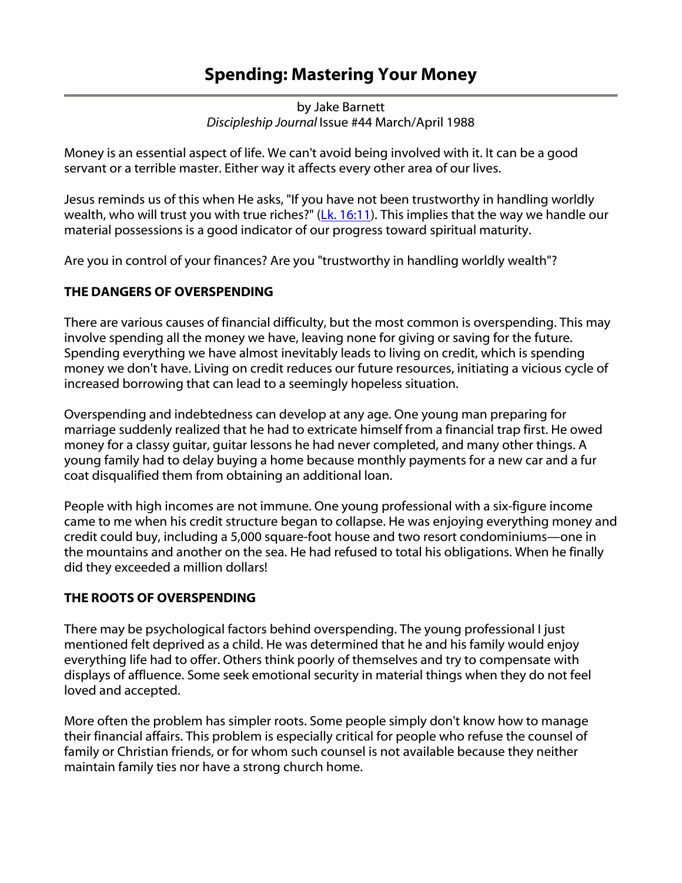# Spending: Mastering Your Money

by Jake Barnett *Discipleship Journal* Issue #44 March/April 1988

Money is an essential aspect of life. We can't avoid being involved with it. It can be a good servant or a terrible master. Either way it affects every other area of our lives.

Jesus reminds us of this when He asks, "If you have not been trustworthy in handling worldly wealth, who will trust you with true riches?" [\(Lk. 16:11\)](http://www.navpress.com/PopUps/BibleReference.aspx?language=english&passage=Luke+016:011). This implies that the way we handle our material possessions is a good indicator of our progress toward spiritual maturity.

Are you in control of your finances? Are you "trustworthy in handling worldly wealth"?

## THE DANGERS OF OVERSPENDING

There are various causes of financial difficulty, but the most common is overspending. This may involve spending all the money we have, leaving none for giving or saving for the future. Spending everything we have almost inevitably leads to living on credit, which is spending money we don't have. Living on credit reduces our future resources, initiating a vicious cycle of increased borrowing that can lead to a seemingly hopeless situation.

Overspending and indebtedness can develop at any age. One young man preparing for marriage suddenly realized that he had to extricate himself from a financial trap first. He owed money for a classy guitar, guitar lessons he had never completed, and many other things. A young family had to delay buying a home because monthly payments for a new car and a fur coat disqualified them from obtaining an additional loan.

People with high incomes are not immune. One young professional with a six-figure income came to me when his credit structure began to collapse. He was enjoying everything money and credit could buy, including a 5,000 square-foot house and two resort condominiums—one in the mountains and another on the sea. He had refused to total his obligations. When he finally did they exceeded a million dollars!

## THE ROOTS OF OVERSPENDING

There may be psychological factors behind overspending. The young professional I just mentioned felt deprived as a child. He was determined that he and his family would enjoy everything life had to offer. Others think poorly of themselves and try to compensate with displays of affluence. Some seek emotional security in material things when they do not feel loved and accepted.

More often the problem has simpler roots. Some people simply don't know how to manage their financial affairs. This problem is especially critical for people who refuse the counsel of family or Christian friends, or for whom such counsel is not available because they neither maintain family ties nor have a strong church home.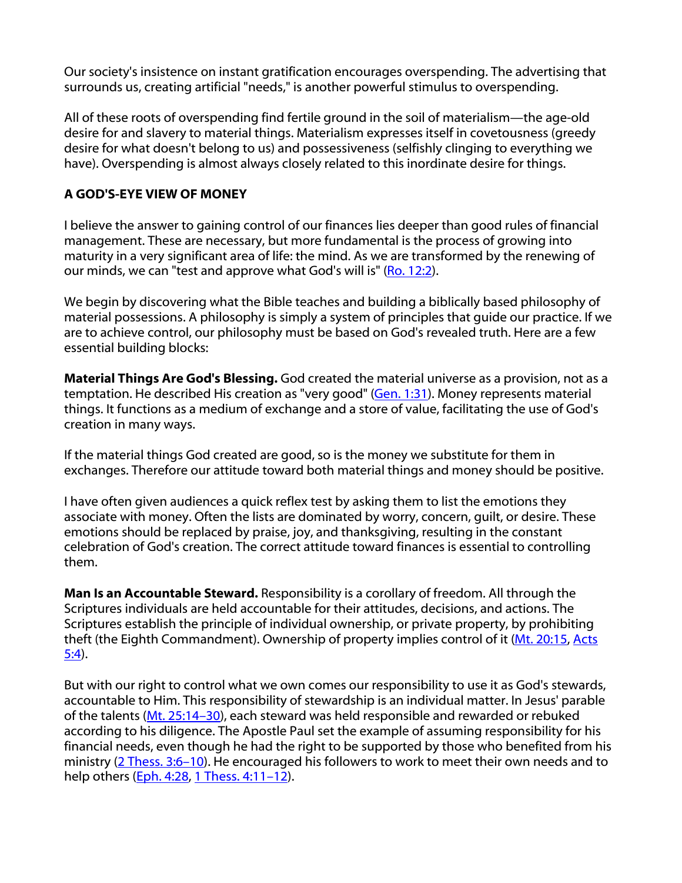Our society's insistence on instant gratification encourages overspending. The advertising that surrounds us, creating artificial "needs," is another powerful stimulus to overspending.

All of these roots of overspending find fertile ground in the soil of materialism—the age-old desire for and slavery to material things. Materialism expresses itself in covetousness (greedy desire for what doesn't belong to us) and possessiveness (selfishly clinging to everything we have). Overspending is almost always closely related to this inordinate desire for things.

### A GOD'S-EYE VIEW OF MONEY

I believe the answer to gaining control of our finances lies deeper than good rules of financial management. These are necessary, but more fundamental is the process of growing into maturity in a very significant area of life: the mind. As we are transformed by the renewing of our minds, we can "test and approve what God's will is" ([Ro. 12:2\)](http://www.navpress.com/PopUps/BibleReference.aspx?language=english&passage=Romans+012:002).

We begin by discovering what the Bible teaches and building a biblically based philosophy of material possessions. A philosophy is simply a system of principles that guide our practice. If we are to achieve control, our philosophy must be based on God's revealed truth. Here are a few essential building blocks:

Material Things Are God's Blessing. God created the material universe as a provision, not as a temptation. He described His creation as "very good" [\(Gen. 1:31](http://www.navpress.com/PopUps/BibleReference.aspx?language=english&passage=Genesis+001:031)). Money represents material things. It functions as a medium of exchange and a store of value, facilitating the use of God's creation in many ways.

If the material things God created are good, so is the money we substitute for them in exchanges. Therefore our attitude toward both material things and money should be positive.

I have often given audiences a quick reflex test by asking them to list the emotions they associate with money. Often the lists are dominated by worry, concern, guilt, or desire. These emotions should be replaced by praise, joy, and thanksgiving, resulting in the constant celebration of God's creation. The correct attitude toward finances is essential to controlling them.

Man Is an Accountable Steward. Responsibility is a corollary of freedom. All through the Scriptures individuals are held accountable for their attitudes, decisions, and actions. The Scriptures establish the principle of individual ownership, or private property, by prohibiting theft (the Eighth Commandment). Ownership of property implies control of it [\(Mt. 20:15](http://www.navpress.com/PopUps/BibleReference.aspx?language=english&passage=Matthew+020:015), [Acts](http://www.navpress.com/PopUps/BibleReference.aspx?language=english&passage=Acts+005:004)  [5:4\)](http://www.navpress.com/PopUps/BibleReference.aspx?language=english&passage=Acts+005:004).

But with our right to control what we own comes our responsibility to use it as God's stewards, accountable to Him. This responsibility of stewardship is an individual matter. In Jesus' parable of the talents ([Mt. 25:14–30\)](http://www.navpress.com/PopUps/BibleReference.aspx?language=english&passage=Matthew+025:014-025:030), each steward was held responsible and rewarded or rebuked according to his diligence. The Apostle Paul set the example of assuming responsibility for his financial needs, even though he had the right to be supported by those who benefited from his ministry (2 Thess. 3:6-10). He encouraged his followers to work to meet their own needs and to help others ([Eph. 4:28](http://www.navpress.com/PopUps/BibleReference.aspx?language=english&passage=Ephesians+004:028), 1 Thess. 4:11-12).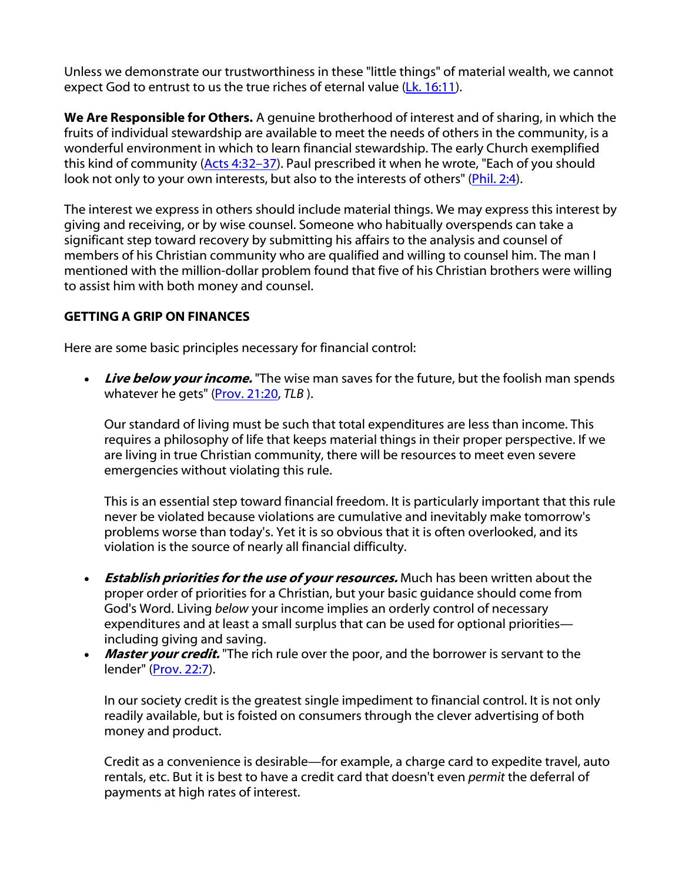Unless we demonstrate our trustworthiness in these "little things" of material wealth, we cannot expect God to entrust to us the true riches of eternal value [\(Lk. 16:11](http://www.navpress.com/PopUps/BibleReference.aspx?language=english&passage=Luke+016:011)).

We Are Responsible for Others. A genuine brotherhood of interest and of sharing, in which the fruits of individual stewardship are available to meet the needs of others in the community, is a wonderful environment in which to learn financial stewardship. The early Church exemplified this kind of community [\(Acts 4:32–37](http://www.navpress.com/PopUps/BibleReference.aspx?language=english&passage=Acts+004:032-004:037)). Paul prescribed it when he wrote, "Each of you should look not only to your own interests, but also to the interests of others" ([Phil. 2:4](http://www.navpress.com/PopUps/BibleReference.aspx?language=english&passage=Philippians+002:004)).

The interest we express in others should include material things. We may express this interest by giving and receiving, or by wise counsel. Someone who habitually overspends can take a significant step toward recovery by submitting his affairs to the analysis and counsel of members of his Christian community who are qualified and willing to counsel him. The man I mentioned with the million-dollar problem found that five of his Christian brothers were willing to assist him with both money and counsel.

### GETTING A GRIP ON FINANCES

Here are some basic principles necessary for financial control:

• Live below your income. "The wise man saves for the future, but the foolish man spends whatever he gets" [\(Prov. 21:20,](http://www.navpress.com/PopUps/BibleReference.aspx?language=english&passage=Proverbs+021:020) TLB).

Our standard of living must be such that total expenditures are less than income. This requires a philosophy of life that keeps material things in their proper perspective. If we are living in true Christian community, there will be resources to meet even severe emergencies without violating this rule.

This is an essential step toward financial freedom. It is particularly important that this rule never be violated because violations are cumulative and inevitably make tomorrow's problems worse than today's. Yet it is so obvious that it is often overlooked, and its violation is the source of nearly all financial difficulty.

- Establish priorities for the use of your resources. Much has been written about the proper order of priorities for a Christian, but your basic guidance should come from God's Word. Living *below* your income implies an orderly control of necessary expenditures and at least a small surplus that can be used for optional priorities including giving and saving.
- Master your credit. "The rich rule over the poor, and the borrower is servant to the lender" [\(Prov. 22:7](http://www.navpress.com/PopUps/BibleReference.aspx?language=english&passage=Proverbs+022:007)).

In our society credit is the greatest single impediment to financial control. It is not only readily available, but is foisted on consumers through the clever advertising of both money and product.

Credit as a convenience is desirable—for example, a charge card to expedite travel, auto rentals, etc. But it is best to have a credit card that doesn't even *permit* the deferral of payments at high rates of interest.